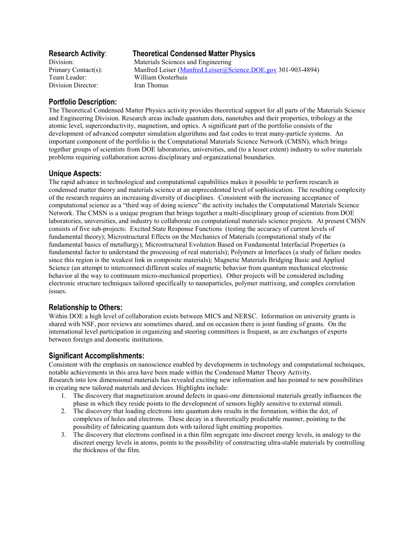Division Director: Iran Thomas

# **Research Activity**: **Theoretical Condensed Matter Physics**

Division: Materials Sciences and Engineering Primary Contact(s): Manfred Leiser (Manfred.Leiser@Science.DOE.gov 301-903-4894) Team Leader: William Oosterhuis

## **Portfolio Description:**

The Theoretical Condensed Matter Physics activity provides theoretical support for all parts of the Materials Science and Engineering Division. Research areas include quantum dots, nanotubes and their properties, tribology at the atomic level, superconductivity, magnetism, and optics. A significant part of the portfolio consists of the development of advanced computer simulation algorithms and fast codes to treat many-particle systems. An important component of the portfolio is the Computational Materials Science Network (CMSN), which brings together groups of scientists from DOE laboratories, universities, and (to a lesser extent) industry to solve materials problems requiring collaboration across disciplinary and organizational boundaries.

### **Unique Aspects:**

The rapid advance in technological and computational capabilities makes it possible to perform research in condensed matter theory and materials science at an unprecedented level of sophistication. The resulting complexity of the research requires an increasing diversity of disciplines. Consistent with the increasing acceptance of computational science as a "third way of doing science" the activity includes the Computational Materials Science Network. The CMSN is a unique program that brings together a multi-disciplinary group of scientists from DOE laboratories, universities, and industry to collaborate on computational materials science projects. At present CMSN consists of five sub-projects: Excited State Response Functions (testing the accuracy of current levels of fundamental theory); Microstructural Effects on the Mechanics of Materials (computational study of the fundamental basics of metallurgy); Microstructural Evolution Based on Fundamental Interfacial Properties (a fundamental factor to understand the processing of real materials); Polymers at Interfaces (a study of failure modes since this region is the weakest link in composite materials); Magnetic Materials Bridging Basic and Applied Science (an attempt to interconnect different scales of magnetic behavior from quantum mechanical electronic behavior al the way to continuum micro-mechanical properties). Other projects will be considered including electronic structure techniques tailored specifically to nanoparticles, polymer matrixing, and complex correlation issues.

## **Relationship to Others:**

Within DOE a high level of collaboration exists between MICS and NERSC. Information on university grants is shared with NSF, peer reviews are sometimes shared, and on occasion there is joint funding of grants. On the international level participation in organizing and steering committees is frequent, as are exchanges of experts between foreign and domestic institutions.

### **Significant Accomplishments:**

Consistent with the emphasis on nanoscience enabled by developments in technology and computational techniques, notable achievements in this area have been made within the Condensed Matter Theory Activity. Research into low dimensional materials has revealed exciting new information and has pointed to new possibilities in creating new tailored materials and devices. Highlights include:

- 1. The discovery that magnetization around defects in quasi-one dimensional materials greatly influences the phase in which they reside points to the development of sensors highly sensitive to external stimuli.
- 2. The discovery that loading electrons into quantum dots results in the formation, within the dot, of complexes of holes and electrons. These decay in a theoretically predictable manner, pointing to the possibility of fabricating quantum dots with tailored light emitting properties.
- 3. The discovery that electrons confined in a thin film segregate into discreet energy levels, in analogy to the discreet energy levels in atoms, points to the possibility of constructing ultra-stable materials by controlling the thickness of the film.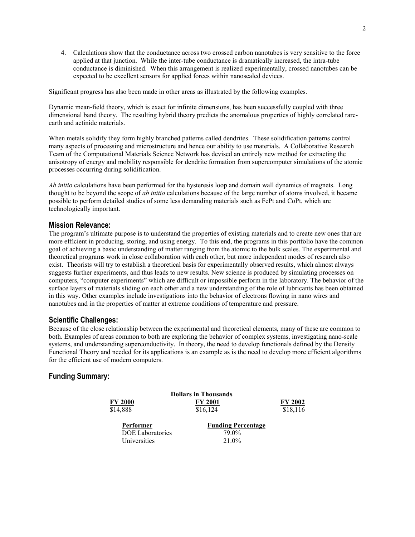4. Calculations show that the conductance across two crossed carbon nanotubes is very sensitive to the force applied at that junction. While the inter-tube conductance is dramatically increased, the intra-tube conductance is diminished. When this arrangement is realized experimentally, crossed nanotubes can be expected to be excellent sensors for applied forces within nanoscaled devices.

Significant progress has also been made in other areas as illustrated by the following examples.

Dynamic mean-field theory, which is exact for infinite dimensions, has been successfully coupled with three dimensional band theory. The resulting hybrid theory predicts the anomalous properties of highly correlated rareearth and actinide materials.

When metals solidify they form highly branched patterns called dendrites. These solidification patterns control many aspects of processing and microstructure and hence our ability to use materials. A Collaborative Research Team of the Computational Materials Science Network has devised an entirely new method for extracting the anisotropy of energy and mobility responsible for dendrite formation from supercomputer simulations of the atomic processes occurring during solidification.

*Ab initio* calculations have been performed for the hysteresis loop and domain wall dynamics of magnets. Long thought to be beyond the scope of *ab initio* calculations because of the large number of atoms involved, it became possible to perform detailed studies of some less demanding materials such as FePt and CoPt, which are technologically important.

### **Mission Relevance:**

The program's ultimate purpose is to understand the properties of existing materials and to create new ones that are more efficient in producing, storing, and using energy. To this end, the programs in this portfolio have the common goal of achieving a basic understanding of matter ranging from the atomic to the bulk scales. The experimental and theoretical programs work in close collaboration with each other, but more independent modes of research also exist. Theorists will try to establish a theoretical basis for experimentally observed results, which almost always suggests further experiments, and thus leads to new results. New science is produced by simulating processes on computers, "computer experiments" which are difficult or impossible perform in the laboratory. The behavior of the surface layers of materials sliding on each other and a new understanding of the role of lubricants has been obtained in this way. Other examples include investigations into the behavior of electrons flowing in nano wires and nanotubes and in the properties of matter at extreme conditions of temperature and pressure.

#### **Scientific Challenges:**

Because of the close relationship between the experimental and theoretical elements, many of these are common to both. Examples of areas common to both are exploring the behavior of complex systems, investigating nano-scale systems, and understanding superconductivity. In theory, the need to develop functionals defined by the Density Functional Theory and needed for its applications is an example as is the need to develop more efficient algorithms for the efficient use of modern computers.

### **Funding Summary:**

|                         | <b>Dollars in Thousands</b> |                |
|-------------------------|-----------------------------|----------------|
| <b>FY 2000</b>          | <b>FY 2001</b>              | <b>FY 2002</b> |
| \$14,888                | \$16,124                    | \$18,116       |
| Performer               | <b>Funding Percentage</b>   |                |
| <b>DOE</b> Laboratories | 79.0%                       |                |
| Universities            | 21.0%                       |                |